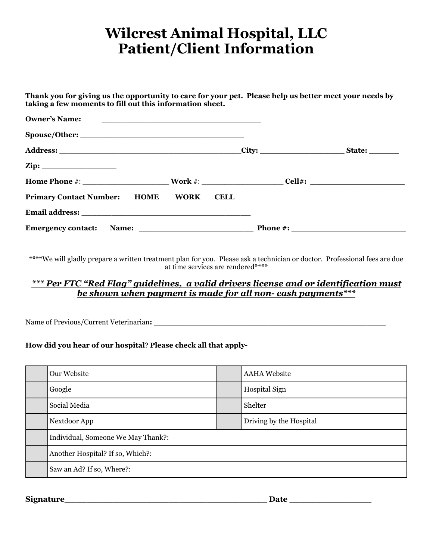## **Wilcrest Animal Hospital, LLC Patient/Client Information**

| Thank you for giving us the opportunity to care for your pet. Please help us better meet your needs by<br>taking a few moments to fill out this information sheet. |             |  |
|--------------------------------------------------------------------------------------------------------------------------------------------------------------------|-------------|--|
| <b>Owner's Name:</b><br><u> 1989 - Andrea Andrew Maria (h. 1989).</u>                                                                                              |             |  |
|                                                                                                                                                                    |             |  |
|                                                                                                                                                                    |             |  |
|                                                                                                                                                                    |             |  |
|                                                                                                                                                                    |             |  |
| <b>Primary Contact Number: HOME WORK</b>                                                                                                                           | <b>CELL</b> |  |
|                                                                                                                                                                    |             |  |
|                                                                                                                                                                    |             |  |

\*\*\*\*We will gladly prepare a written treatment plan for you. Please ask a technician or doctor. Professional fees are due at time services are rendered\*\*\*\*

### *\*\*\* Per FTC "Red Flag" guidelines, a valid drivers license and or identification must be shown when payment is made for all non- cash payments\*\*\**

Name of Previous/Current Veterinarian**:** \_\_\_\_\_\_\_\_\_\_\_\_\_\_\_\_\_\_\_\_\_\_\_\_\_\_\_\_\_\_\_\_\_\_\_\_\_\_\_\_\_\_\_\_\_\_\_\_\_\_\_

#### **How did you hear of our hospital**? **Please check all that apply-**

| Our Website                        |  | <b>AAHA</b> Website     |  |  |
|------------------------------------|--|-------------------------|--|--|
| Google                             |  | <b>Hospital Sign</b>    |  |  |
| Social Media                       |  | Shelter                 |  |  |
| Nextdoor App                       |  | Driving by the Hospital |  |  |
| Individual, Someone We May Thank?: |  |                         |  |  |
| Another Hospital? If so, Which?:   |  |                         |  |  |
| Saw an Ad? If so, Where?:          |  |                         |  |  |

**Signature\_\_\_\_\_\_\_\_\_\_\_\_\_\_\_\_\_\_\_\_\_\_\_\_\_\_\_\_\_\_\_\_\_\_\_\_\_ Date \_\_\_\_\_\_\_\_\_\_\_\_\_\_\_**